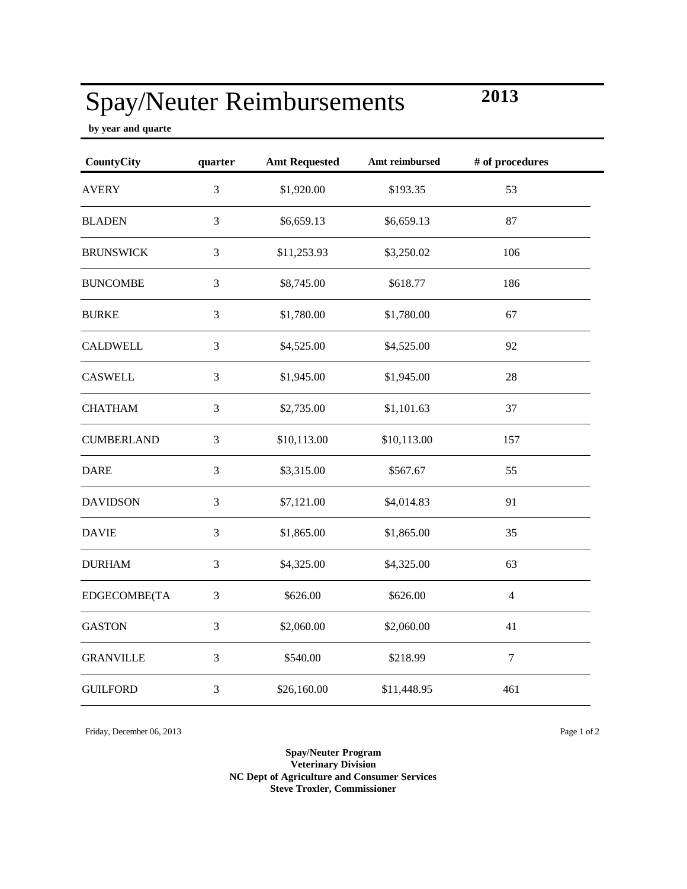## Spay/Neuter Reimbursements

**by year and quarte**

| <b>CountyCity</b> | quarter        | <b>Amt Requested</b> | Amt reimbursed | # of procedures |
|-------------------|----------------|----------------------|----------------|-----------------|
| <b>AVERY</b>      | 3              | \$1,920.00           | \$193.35       | 53              |
| <b>BLADEN</b>     | 3              | \$6,659.13           | \$6,659.13     | 87              |
| <b>BRUNSWICK</b>  | 3              | \$11,253.93          | \$3,250.02     | 106             |
| <b>BUNCOMBE</b>   | $\mathfrak{Z}$ | \$8,745.00           | \$618.77       | 186             |
| <b>BURKE</b>      | 3              | \$1,780.00           | \$1,780.00     | 67              |
| <b>CALDWELL</b>   | $\mathfrak{Z}$ | \$4,525.00           | \$4,525.00     | 92              |
| <b>CASWELL</b>    | 3              | \$1,945.00           | \$1,945.00     | 28              |
| <b>CHATHAM</b>    | 3              | \$2,735.00           | \$1,101.63     | 37              |
| <b>CUMBERLAND</b> | 3              | \$10,113.00          | \$10,113.00    | 157             |
| <b>DARE</b>       | $\mathfrak{Z}$ | \$3,315.00           | \$567.67       | 55              |
| <b>DAVIDSON</b>   | 3              | \$7,121.00           | \$4,014.83     | 91              |
| <b>DAVIE</b>      | 3              | \$1,865.00           | \$1,865.00     | 35              |
| <b>DURHAM</b>     | 3              | \$4,325.00           | \$4,325.00     | 63              |
| EDGECOMBE(TA      | 3              | \$626.00             | \$626.00       | $\overline{4}$  |
| <b>GASTON</b>     | 3              | \$2,060.00           | \$2,060.00     | 41              |
| <b>GRANVILLE</b>  | 3              | \$540.00             | \$218.99       | $\overline{7}$  |
| <b>GUILFORD</b>   | 3              | \$26,160.00          | \$11,448.95    | 461             |

Friday, December 06, 2013 Page 1 of 2

**Spay/Neuter Program Veterinary Division NC Dept of Agriculture and Consumer Services Steve Troxler, Commissioner**